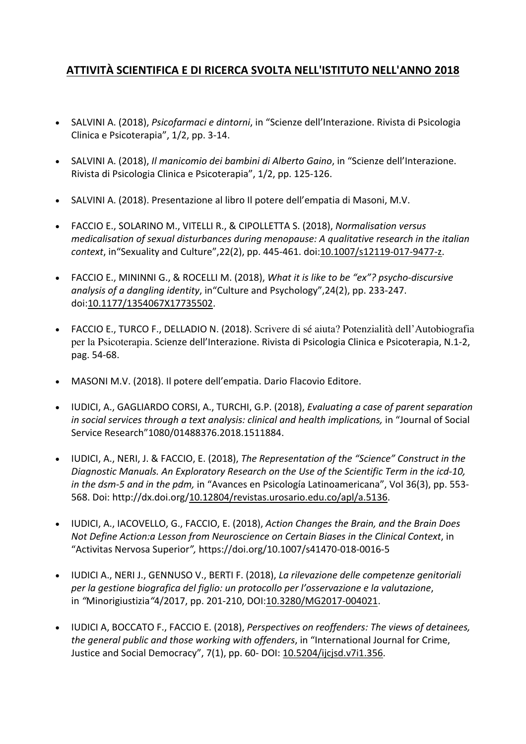## **ATTIVITÀ SCIENTIFICA E DI RICERCA SVOLTA NELL'ISTITUTO NELL'ANNO 2018**

- SALVINI A. (2018), *Psicofarmaci e dintorni*, in "Scienze dell'Interazione. Rivista di Psicologia Clinica e Psicoterapia", 1/2, pp. 3-14.
- SALVINI A. (2018), *Il manicomio dei bambini di Alberto Gaino*, in "Scienze dell'Interazione. Rivista di Psicologia Clinica e Psicoterapia", 1/2, pp. 125-126.
- SALVINI A. (2018). Presentazione al libro Il potere dell'empatia di Masoni, M.V.
- FACCIO E., SOLARINO M., VITELLI R., & CIPOLLETTA S. (2018), *Normalisation versus medicalisation of sexual disturbances during menopause: A qualitative research in the italian context*, in"Sexuality and Culture",22(2), pp. 445-461. doi:10.1007/s12119-017-9477-z.
- FACCIO E., MININNI G., & ROCELLI M. (2018), *What it is like to be "ex"? psycho-discursive analysis of a dangling identity*, in"Culture and Psychology",24(2), pp. 233-247. doi:10.1177/1354067X17735502.
- FACCIO E., TURCO F., DELLADIO N. (2018). Scrivere di sé aiuta? Potenzialità dell'Autobiografia per la Psicoterapia. Scienze dell'Interazione. Rivista di Psicologia Clinica e Psicoterapia, N.1-2, pag. 54-68.
- MASONI M.V. (2018). Il potere dell'empatia. Dario Flacovio Editore.
- IUDICI, A., GAGLIARDO CORSI, A., TURCHI, G.P. (2018), *Evaluating a case of parent separation in social services through a text analysis: clinical and health implications,* in "Journal of Social Service Research"1080/01488376.2018.1511884.
- IUDICI, A., NERI, J. & FACCIO, E. (2018), *The Representation of the "Science" Construct in the Diagnostic Manuals. An Exploratory Research on the Use of the Scientific Term in the icd-10, in the dsm-5 and in the pdm,* in "Avances en Psicología Latinoamericana", Vol 36(3), pp. 553- 568. Doi: http://dx.doi.org/10.12804/revistas.urosario.edu.co/apl/a.5136.
- IUDICI, A., IACOVELLO, G., FACCIO, E. (2018), *Action Changes the Brain, and the Brain Does Not Define Action:a Lesson from Neuroscience on Certain Biases in the Clinical Context*, in "Activitas Nervosa Superior*",* https://doi.org/10.1007/s41470-018-0016-5
- IUDICI A., NERI J., GENNUSO V., BERTI F. (2018), *La rilevazione delle competenze genitoriali per la gestione biografica del figlio: un protocollo per l'osservazione e la valutazione*, in *"*Minorigiustizia*"*4/2017, pp. 201-210, DOI:10.3280/MG2017-004021.
- IUDICI A, BOCCATO F., FACCIO E. (2018), *Perspectives on reoffenders: The views of detainees, the general public and those working with offenders*, in "International Journal for Crime, Justice and Social Democracy", 7(1), pp. 60- DOI: 10.5204/ijcjsd.v7i1.356.